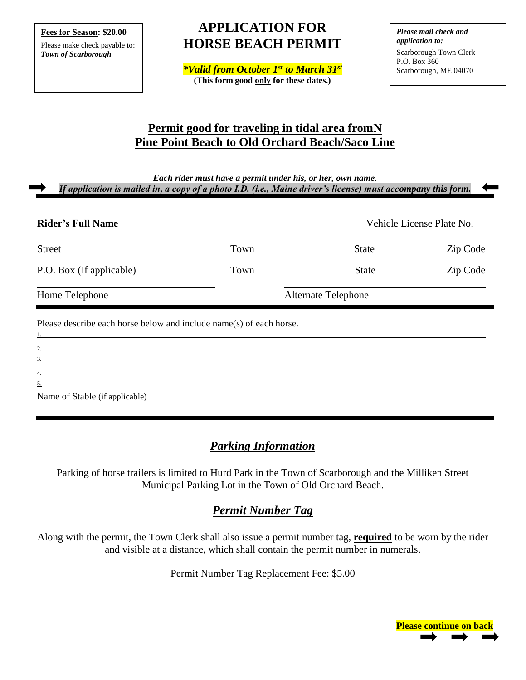**Fees for Season: \$20.00**

Please make check payable to: *Town of Scarborough*

# **APPLICATION FOR HORSE BEACH PERMIT**

*\*Valid from October 1 st to March 31st* **(This form good only for these dates.)**

*Please mail check and application to:* Scarborough Town Clerk P.O. Box 360 Scarborough, ME 04070

# **Permit good for traveling in tidal area fromN Pine Point Beach to Old Orchard Beach/Saco Line**

*Each rider must have a permit under his, or her, own name.*

*If application is mailed in, a copy of a photo I.D. (i.e., Maine driver's license) must accompany this form.*

| <b>State</b>        | Zip Code |
|---------------------|----------|
|                     |          |
| <b>State</b>        | Zip Code |
| Alternate Telephone |          |
|                     |          |

Name of Stable (if applicable)

3. 4.

# *Parking Information*

5.\_\_\_\_\_\_\_\_\_\_\_\_\_\_\_\_\_\_\_\_\_\_\_\_\_\_\_\_\_\_\_\_\_\_\_\_\_\_\_\_\_\_\_\_\_\_\_\_\_\_\_\_\_\_\_\_\_\_\_\_\_\_\_\_\_\_\_\_\_\_\_\_\_\_\_\_\_\_\_\_\_\_\_\_\_\_\_\_\_\_\_\_\_\_\_\_\_\_\_\_\_\_\_\_\_\_\_\_\_\_\_\_\_\_\_\_\_\_\_\_\_\_\_\_\_\_\_\_\_\_\_\_\_\_\_\_\_\_\_\_\_\_\_\_\_\_\_\_

Parking of horse trailers is limited to Hurd Park in the Town of Scarborough and the Milliken Street Municipal Parking Lot in the Town of Old Orchard Beach.

# *Permit Number Tag*

Along with the permit, the Town Clerk shall also issue a permit number tag, **required** to be worn by the rider and visible at a distance, which shall contain the permit number in numerals.

Permit Number Tag Replacement Fee: \$5.00